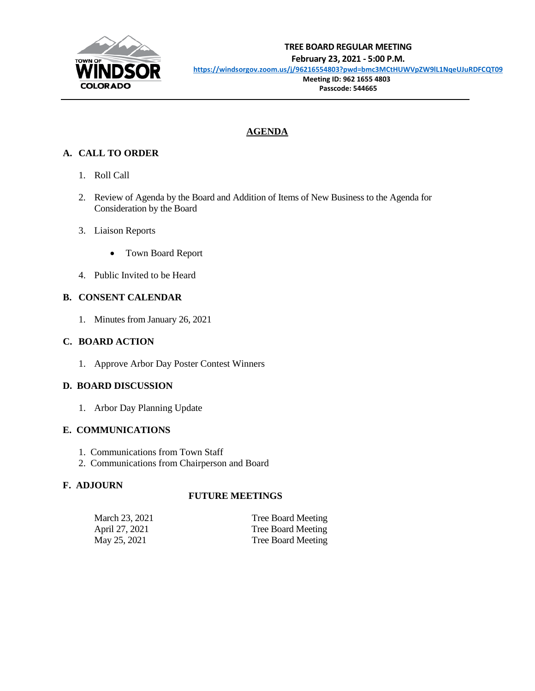

## **TREE BOARD REGULAR MEETING February 23, 2021 - 5:00 P.M.**

**<https://windsorgov.zoom.us/j/96216554803?pwd=bmc3MCtHUWVpZW9lL1NqeUJuRDFCQT09>**

 **Meeting ID: 962 1655 4803 Passcode: 544665**

## **AGENDA**

## **A. CALL TO ORDER**

- 1. Roll Call
- 2. Review of Agenda by the Board and Addition of Items of New Business to the Agenda for Consideration by the Board
- 3. Liaison Reports
	- Town Board Report
- 4. Public Invited to be Heard

### **B. CONSENT CALENDAR**

1. Minutes from January 26, 2021

#### **C. BOARD ACTION**

1. Approve Arbor Day Poster Contest Winners

#### **D. BOARD DISCUSSION**

1. Arbor Day Planning Update

#### **E. COMMUNICATIONS**

- 1. Communications from Town Staff
- 2. Communications from Chairperson and Board

## **F. ADJOURN**

## **FUTURE MEETINGS**

| March 23, 2021 | Tree Board Meeting |
|----------------|--------------------|
| April 27, 2021 | Tree Board Meeting |
| May 25, 2021   | Tree Board Meeting |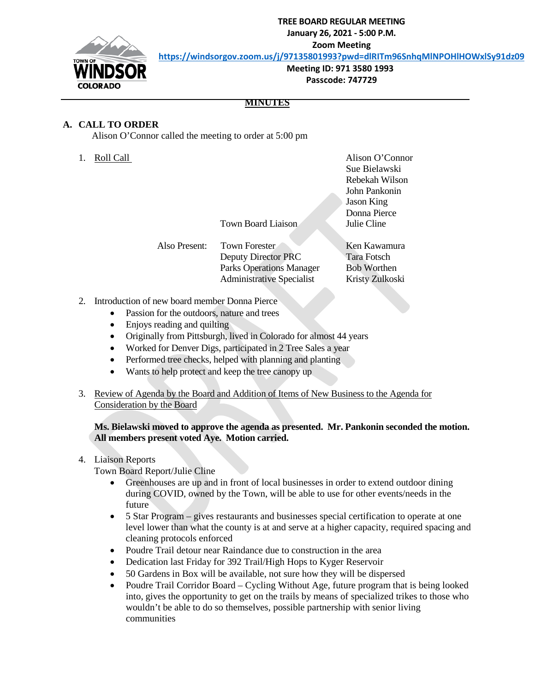**TREE BOARD REGULAR MEETING**

**January 26, 2021 - 5:00 P.M.**

**Zoom Meeting**

**<https://windsorgov.zoom.us/j/97135801993?pwd=dlRITm96SnhqMlNPOHlHOWxlSy91dz09>**



 **Meeting ID: 971 3580 1993 Passcode: 747729**

#### **MINUTES**

#### **A. CALL TO ORDER**

Alison O'Connor called the meeting to order at 5:00 pm

1. Roll Call **Alison O'Connor** Sue Bielawski Rebekah Wilson John Pankonin Jason King Donna Pierce

Town Board Liaison<br>
<u>Julie Cline</u>

Also Present: Town Forester Ken Kawamura Deputy Director PRC Tara Fotsch Parks Operations Manager Bob Worthen Administrative Specialist Kristy Zulkoski

- 2. Introduction of new board member Donna Pierce
	- Passion for the outdoors, nature and trees
	- Enjoys reading and quilting
	- Originally from Pittsburgh, lived in Colorado for almost 44 years
	- Worked for Denver Digs, participated in 2 Tree Sales a year
	- Performed tree checks, helped with planning and planting
	- Wants to help protect and keep the tree canopy up
- 3. Review of Agenda by the Board and Addition of Items of New Business to the Agenda for Consideration by the Board

**Ms. Bielawski moved to approve the agenda as presented. Mr. Pankonin seconded the motion. All members present voted Aye. Motion carried.**

- 4. Liaison Reports
	- Town Board Report/Julie Cline
		- Greenhouses are up and in front of local businesses in order to extend outdoor dining during COVID, owned by the Town, will be able to use for other events/needs in the future
		- 5 Star Program gives restaurants and businesses special certification to operate at one level lower than what the county is at and serve at a higher capacity, required spacing and cleaning protocols enforced
		- Poudre Trail detour near Raindance due to construction in the area
		- Dedication last Friday for 392 Trail/High Hops to Kyger Reservoir
		- 50 Gardens in Box will be available, not sure how they will be dispersed
		- Poudre Trail Corridor Board Cycling Without Age, future program that is being looked into, gives the opportunity to get on the trails by means of specialized trikes to those who wouldn't be able to do so themselves, possible partnership with senior living communities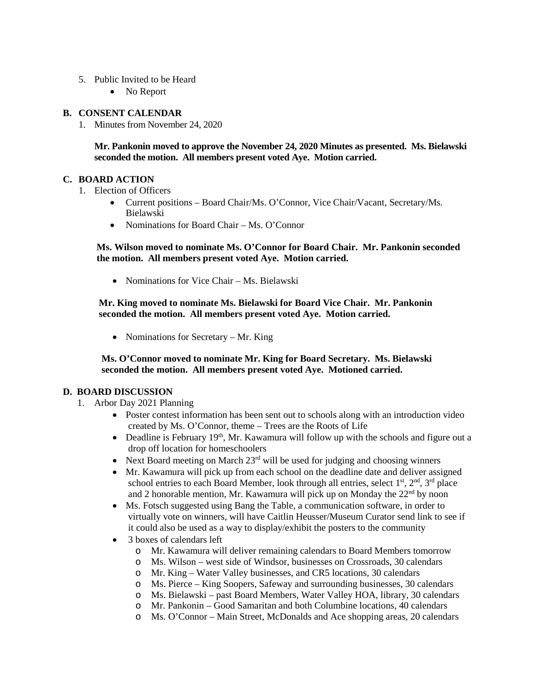- 5. Public Invited to be Heard
	- No Report

#### **B. CONSENT CALENDAR**

1. Minutes from November 24, 2020

**Mr. Pankonin moved to approve the November 24, 2020 Minutes as presented. Ms. Bielawski seconded the motion. All members present voted Aye. Motion carried.**

#### **C. BOARD ACTION**

- 1. Election of Officers
	- Current positions Board Chair/Ms. O'Connor, Vice Chair/Vacant, Secretary/Ms. Bielawski
	- Nominations for Board Chair Ms. O'Connor

#### **Ms. Wilson moved to nominate Ms. O'Connor for Board Chair. Mr. Pankonin seconded the motion. All members present voted Aye. Motion carried.**

• Nominations for Vice Chair – Ms. Bielawski

 **Mr. King moved to nominate Ms. Bielawski for Board Vice Chair. Mr. Pankonin seconded the motion. All members present voted Aye. Motion carried.**

• Nominations for Secretary – Mr. King

 **Ms. O'Connor moved to nominate Mr. King for Board Secretary. Ms. Bielawski seconded the motion. All members present voted Aye. Motioned carried.**

#### **D. BOARD DISCUSSION**

- 1. Arbor Day 2021 Planning
	- Poster contest information has been sent out to schools along with an introduction video created by Ms. O'Connor, theme – Trees are the Roots of Life
	- Deadline is February  $19<sup>th</sup>$ , Mr. Kawamura will follow up with the schools and figure out a drop off location for homeschoolers
	- Next Board meeting on March  $23<sup>rd</sup>$  will be used for judging and choosing winners
	- Mr. Kawamura will pick up from each school on the deadline date and deliver assigned school entries to each Board Member, look through all entries, select  $1<sup>st</sup>$ ,  $2<sup>nd</sup>$ ,  $3<sup>rd</sup>$  place and 2 honorable mention, Mr. Kawamura will pick up on Monday the  $22<sup>nd</sup>$  by noon
	- Ms. Fotsch suggested using Bang the Table, a communication software, in order to virtually vote on winners, will have Caitlin Heusser/Museum Curator send link to see if it could also be used as a way to display/exhibit the posters to the community
	- 3 boxes of calendars left
		- o Mr. Kawamura will deliver remaining calendars to Board Members tomorrow
		- o Ms. Wilson west side of Windsor, businesses on Crossroads, 30 calendars
		- o Mr. King Water Valley businesses, and CR5 locations, 30 calendars
		- o Ms. Pierce King Soopers, Safeway and surrounding businesses, 30 calendars
		- o Ms. Bielawski past Board Members, Water Valley HOA, library, 30 calendars
		- o Mr. Pankonin Good Samaritan and both Columbine locations, 40 calendars
		- o Ms. O'Connor Main Street, McDonalds and Ace shopping areas, 20 calendars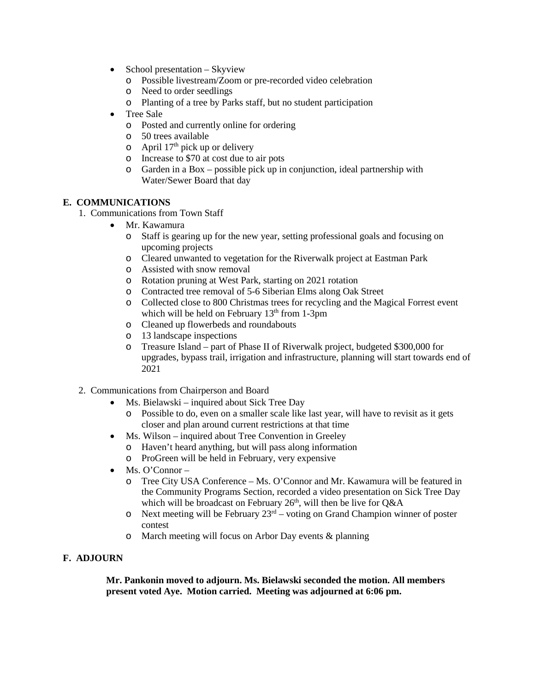- School presentation Skyview
	- o Possible livestream/Zoom or pre-recorded video celebration
	- o Need to order seedlings
	- o Planting of a tree by Parks staff, but no student participation
- Tree Sale
	- o Posted and currently online for ordering
	- o 50 trees available
	- $\circ$  April 17<sup>th</sup> pick up or delivery
	- o Increase to \$70 at cost due to air pots
	- o Garden in a Box possible pick up in conjunction, ideal partnership with Water/Sewer Board that day

#### **E. COMMUNICATIONS**

- 1. Communications from Town Staff
	- Mr. Kawamura
		- o Staff is gearing up for the new year, setting professional goals and focusing on upcoming projects
		- o Cleared unwanted to vegetation for the Riverwalk project at Eastman Park
		- o Assisted with snow removal
		- o Rotation pruning at West Park, starting on 2021 rotation
		- o Contracted tree removal of 5-6 Siberian Elms along Oak Street
		- o Collected close to 800 Christmas trees for recycling and the Magical Forrest event which will be held on February  $13<sup>th</sup>$  from 1-3pm
		- o Cleaned up flowerbeds and roundabouts
		- o 13 landscape inspections
		- o Treasure Island part of Phase II of Riverwalk project, budgeted \$300,000 for upgrades, bypass trail, irrigation and infrastructure, planning will start towards end of 2021
- 2. Communications from Chairperson and Board
	- Ms. Bielawski inquired about Sick Tree Day
		- o Possible to do, even on a smaller scale like last year, will have to revisit as it gets closer and plan around current restrictions at that time
	- Ms. Wilson inquired about Tree Convention in Greeley
		- o Haven't heard anything, but will pass along information
		- o ProGreen will be held in February, very expensive
	- Ms. O'Connor
		- o Tree City USA Conference Ms. O'Connor and Mr. Kawamura will be featured in the Community Programs Section, recorded a video presentation on Sick Tree Day which will be broadcast on February  $26<sup>th</sup>$ , will then be live for Q&A
		- $\circ$  Next meeting will be February 23<sup>rd</sup> voting on Grand Champion winner of poster contest
		- o March meeting will focus on Arbor Day events & planning

#### **F. ADJOURN**

 **Mr. Pankonin moved to adjourn. Ms. Bielawski seconded the motion. All members present voted Aye. Motion carried. Meeting was adjourned at 6:06 pm.**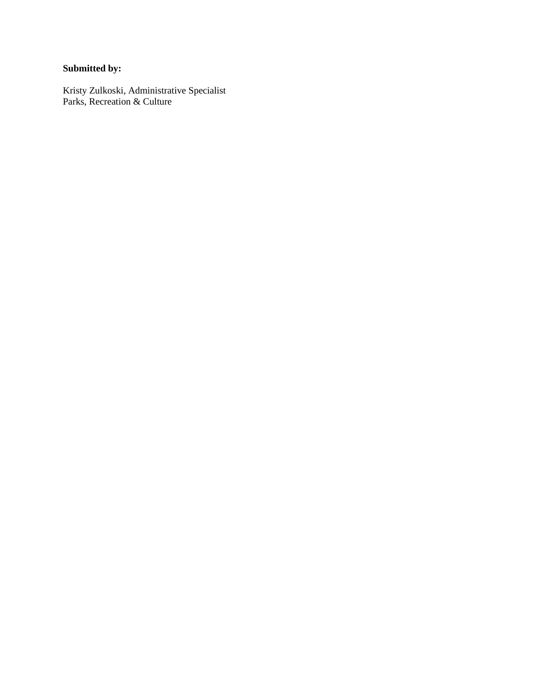## **Submitted by:**

Kristy Zulkoski, Administrative Specialist Parks, Recreation & Culture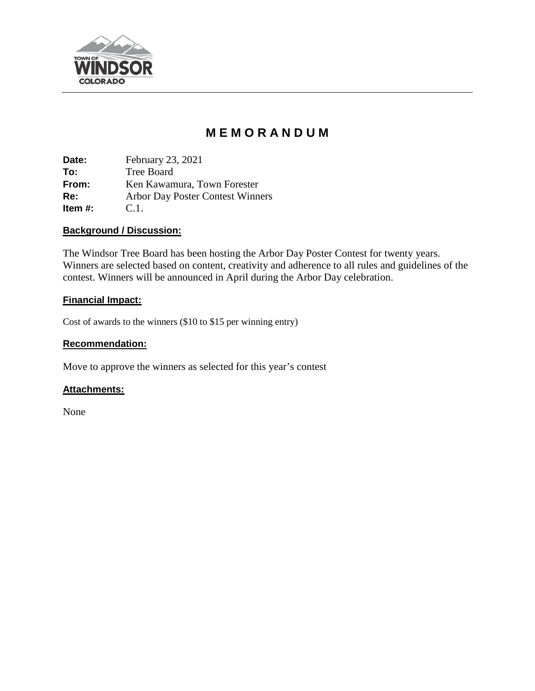

# **M E M O R A N D U M**

**Date:** February 23, 2021 **To:** Tree Board **From:** Ken Kawamura, Town Forester **Re:** Arbor Day Poster Contest Winners **Item #:** C.1.

#### **Background / Discussion:**

The Windsor Tree Board has been hosting the Arbor Day Poster Contest for twenty years. Winners are selected based on content, creativity and adherence to all rules and guidelines of the contest. Winners will be announced in April during the Arbor Day celebration.

## **Financial Impact:**

Cost of awards to the winners (\$10 to \$15 per winning entry)

### **Recommendation:**

Move to approve the winners as selected for this year's contest

#### **Attachments:**

None